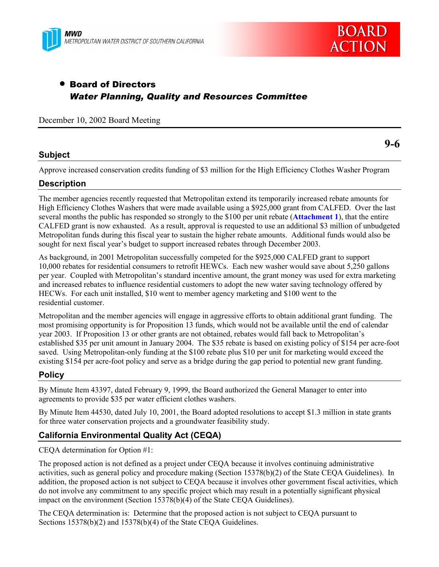



# • Board of Directors *Water Planning, Quality and Resources Committee*

December 10, 2002 Board Meeting

# **Subject**

**9-6**

Approve increased conservation credits funding of \$3 million for the High Efficiency Clothes Washer Program

# **Description**

The member agencies recently requested that Metropolitan extend its temporarily increased rebate amounts for High Efficiency Clothes Washers that were made available using a \$925,000 grant from CALFED. Over the last several months the public has responded so strongly to the \$100 per unit rebate (**Attachment 1**), that the entire CALFED grant is now exhausted. As a result, approval is requested to use an additional \$3 million of unbudgeted Metropolitan funds during this fiscal year to sustain the higher rebate amounts. Additional funds would also be sought for next fiscal year's budget to support increased rebates through December 2003.

As background, in 2001 Metropolitan successfully competed for the \$925,000 CALFED grant to support 10,000 rebates for residential consumers to retrofit HEWCs. Each new washer would save about 5,250 gallons per year. Coupled with Metropolitanís standard incentive amount, the grant money was used for extra marketing and increased rebates to influence residential customers to adopt the new water saving technology offered by HECWs. For each unit installed, \$10 went to member agency marketing and \$100 went to the residential customer.

Metropolitan and the member agencies will engage in aggressive efforts to obtain additional grant funding. The most promising opportunity is for Proposition 13 funds, which would not be available until the end of calendar year 2003. If Proposition 13 or other grants are not obtained, rebates would fall back to Metropolitanís established \$35 per unit amount in January 2004. The \$35 rebate is based on existing policy of \$154 per acre-foot saved. Using Metropolitan-only funding at the \$100 rebate plus \$10 per unit for marketing would exceed the existing \$154 per acre-foot policy and serve as a bridge during the gap period to potential new grant funding.

# **Policy**

By Minute Item 43397, dated February 9, 1999, the Board authorized the General Manager to enter into agreements to provide \$35 per water efficient clothes washers.

By Minute Item 44530, dated July 10, 2001, the Board adopted resolutions to accept \$1.3 million in state grants for three water conservation projects and a groundwater feasibility study.

# **California Environmental Quality Act (CEQA)**

CEQA determination for Option #1:

The proposed action is not defined as a project under CEQA because it involves continuing administrative activities, such as general policy and procedure making (Section 15378(b)(2) of the State CEQA Guidelines). In addition, the proposed action is not subject to CEQA because it involves other government fiscal activities, which do not involve any commitment to any specific project which may result in a potentially significant physical impact on the environment (Section 15378(b)(4) of the State CEQA Guidelines).

The CEQA determination is: Determine that the proposed action is not subject to CEQA pursuant to Sections 15378(b)(2) and 15378(b)(4) of the State CEOA Guidelines.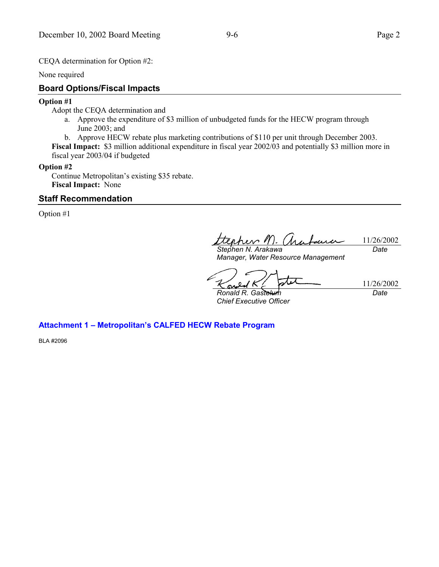CEQA determination for Option #2:

None required

### **Board Options/Fiscal Impacts**

#### **Option #1**

Adopt the CEQA determination and

- a. Approve the expenditure of \$3 million of unbudgeted funds for the HECW program through June 2003; and
- b. Approve HECW rebate plus marketing contributions of \$110 per unit through December 2003.

**Fiscal Impact:** \$3 million additional expenditure in fiscal year 2002/03 and potentially \$3 million more in fiscal year 2003/04 if budgeted

#### **Option #2**

Continue Metropolitan's existing \$35 rebate. **Fiscal Impact:** None

### **Staff Recommendation**

Option #1

rev 1  $\lambda$ 11/26/2002 *Date*

*Stephen N. Arakawa Manager, Water Resource Management*

ر ا 11/26/2002 *Ronald R. Gastelum*

*Chief Executive Officer*

*Date*

# **Attachment 1 - Metropolitan's CALFED HECW Rebate Program**

BLA #2096